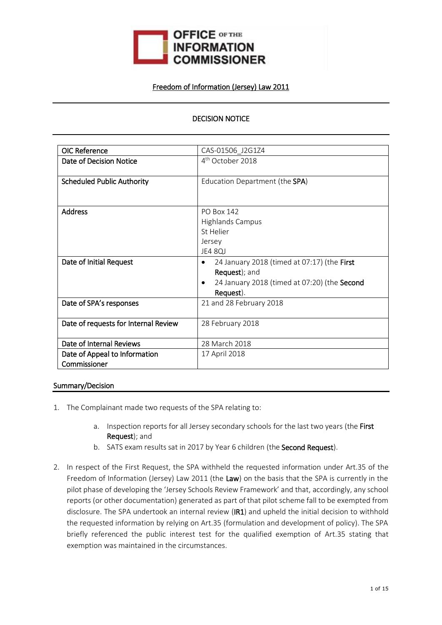

### Freedom of Information (Jersey) Law 2011

# DECISION NOTICE

| <b>OIC Reference</b>                 | CAS-01506 J2G1Z4                             |
|--------------------------------------|----------------------------------------------|
| Date of Decision Notice              | 4 <sup>th</sup> October 2018                 |
|                                      |                                              |
| <b>Scheduled Public Authority</b>    | Education Department (the SPA)               |
|                                      |                                              |
|                                      |                                              |
| <b>Address</b>                       | <b>PO Box 142</b>                            |
|                                      | <b>Highlands Campus</b>                      |
|                                      | St Helier                                    |
|                                      | Jersey                                       |
|                                      | <b>JE4 80J</b>                               |
| Date of Initial Request              | 24 January 2018 (timed at 07:17) (the First  |
|                                      | Request); and                                |
|                                      | 24 January 2018 (timed at 07:20) (the Second |
|                                      | Request).                                    |
| Date of SPA's responses              | 21 and 28 February 2018                      |
|                                      |                                              |
| Date of requests for Internal Review | 28 February 2018                             |
|                                      |                                              |
| Date of Internal Reviews             | 28 March 2018                                |
| Date of Appeal to Information        | 17 April 2018                                |
| Commissioner                         |                                              |

#### Summary/Decision

- 1. The Complainant made two requests of the SPA relating to:
	- a. Inspection reports for all Jersey secondary schools for the last two years (the First Request); and
	- b. SATS exam results sat in 2017 by Year 6 children (the Second Request).
- 2. In respect of the First Request, the SPA withheld the requested information under Art.35 of the Freedom of Information (Jersey) Law 2011 (the Law) on the basis that the SPA is currently in the pilot phase of developing the 'Jersey Schools Review Framework' and that, accordingly, any school reports (or other documentation) generated as part of that pilot scheme fall to be exempted from disclosure. The SPA undertook an internal review (IR1) and upheld the initial decision to withhold the requested information by relying on Art.35 (formulation and development of policy). The SPA briefly referenced the public interest test for the qualified exemption of Art.35 stating that exemption was maintained in the circumstances.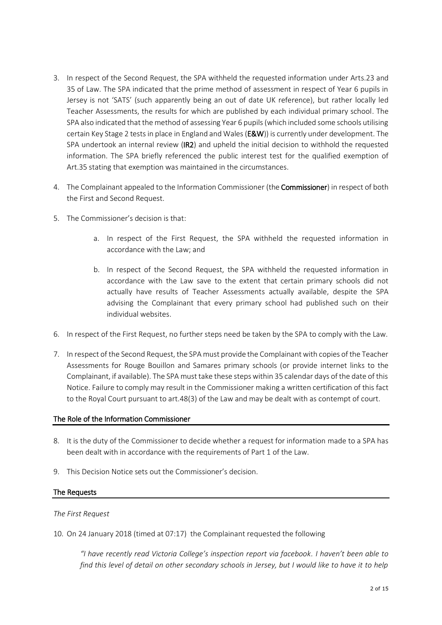- 3. In respect of the Second Request, the SPA withheld the requested information under Arts.23 and 35 of Law. The SPA indicated that the prime method of assessment in respect of Year 6 pupils in Jersey is not 'SATS' (such apparently being an out of date UK reference), but rather locally led Teacher Assessments, the results for which are published by each individual primary school. The SPA also indicated that the method of assessing Year 6 pupils (which included some schools utilising certain Key Stage 2 tests in place in England and Wales (E&W)) is currently under development. The SPA undertook an internal review (IR2) and upheld the initial decision to withhold the requested information. The SPA briefly referenced the public interest test for the qualified exemption of Art.35 stating that exemption was maintained in the circumstances.
- 4. The Complainant appealed to the Information Commissioner (the Commissioner) in respect of both the First and Second Request.
- 5. The Commissioner's decision is that:
	- a. In respect of the First Request, the SPA withheld the requested information in accordance with the Law; and
	- b. In respect of the Second Request, the SPA withheld the requested information in accordance with the Law save to the extent that certain primary schools did not actually have results of Teacher Assessments actually available, despite the SPA advising the Complainant that every primary school had published such on their individual websites.
- 6. In respect of the First Request, no further steps need be taken by the SPA to comply with the Law.
- 7. In respect of the Second Request, the SPA must provide the Complainant with copies of the Teacher Assessments for Rouge Bouillon and Samares primary schools (or provide internet links to the Complainant, if available). The SPA must take these steps within 35 calendar days of the date of this Notice. Failure to comply may result in the Commissioner making a written certification of this fact to the Royal Court pursuant to art.48(3) of the Law and may be dealt with as contempt of court.

#### The Role of the Information Commissioner

- 8. It is the duty of the Commissioner to decide whether a request for information made to a SPA has been dealt with in accordance with the requirements of Part 1 of the Law.
- 9. This Decision Notice sets out the Commissioner's decision.

# The Requests

#### *The First Request*

10. On 24 January 2018 (timed at 07:17) the Complainant requested the following

*"I have recently read Victoria College's inspection report via facebook. I haven't been able to find this level of detail on other secondary schools in Jersey, but I would like to have it to help*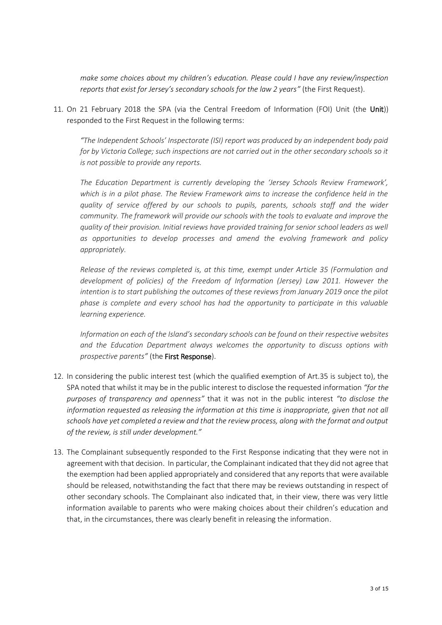*make some choices about my children's education. Please could I have any review/inspection reports that exist for Jersey's secondary schools for the law 2 years"* (the First Request).

11. On 21 February 2018 the SPA (via the Central Freedom of Information (FOI) Unit (the Unit)) responded to the First Request in the following terms:

*"The Independent Schools' Inspectorate (ISI) report was produced by an independent body paid for by Victoria College; such inspections are not carried out in the other secondary schools so it is not possible to provide any reports.*

*The Education Department is currently developing the 'Jersey Schools Review Framework', which is in a pilot phase. The Review Framework aims to increase the confidence held in the quality of service offered by our schools to pupils, parents, schools staff and the wider community. The framework will provide our schools with the tools to evaluate and improve the quality of their provision. Initial reviews have provided training for senior school leaders as well as opportunities to develop processes and amend the evolving framework and policy appropriately.*

*Release of the reviews completed is, at this time, exempt under Article 35 (Formulation and development of policies) of the Freedom of Information (Jersey) Law 2011. However the intention is to start publishing the outcomes of these reviews from January 2019 once the pilot phase is complete and every school has had the opportunity to participate in this valuable learning experience.*

*Information on each of the Island's secondary schools can be found on their respective websites and the Education Department always welcomes the opportunity to discuss options with prospective parents"* (the First Response).

- 12. In considering the public interest test (which the qualified exemption of Art.35 is subject to), the SPA noted that whilst it may be in the public interest to disclose the requested information *"for the purposes of transparency and openness"* that it was not in the public interest *"to disclose the information requested as releasing the information at this time is inappropriate, given that not all schools have yet completed a review and that the review process, along with the format and output of the review, is still under development."*
- 13. The Complainant subsequently responded to the First Response indicating that they were not in agreement with that decision. In particular, the Complainant indicated that they did not agree that the exemption had been applied appropriately and considered that any reports that were available should be released, notwithstanding the fact that there may be reviews outstanding in respect of other secondary schools. The Complainant also indicated that, in their view, there was very little information available to parents who were making choices about their children's education and that, in the circumstances, there was clearly benefit in releasing the information.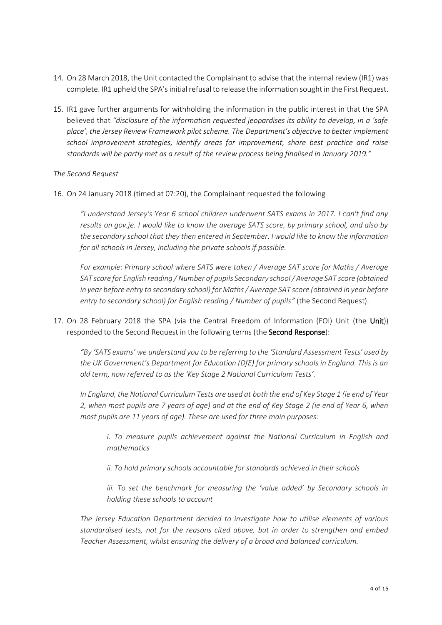- 14. On 28 March 2018, the Unit contacted the Complainant to advise that the internal review(IR1) was complete. IR1 upheld the SPA's initial refusal to release the information sought in the First Request.
- 15. IR1 gave further arguments for withholding the information in the public interest in that the SPA believed that *"disclosure of the information requested jeopardises its ability to develop, in a 'safe place', the Jersey Review Framework pilot scheme. The Department's objective to better implement school improvement strategies, identify areas for improvement, share best practice and raise standards will be partly met as a result of the review process being finalised in January 2019."*

#### *The Second Request*

16. On 24 January 2018 (timed at 07:20), the Complainant requested the following

*"I understand Jersey's Year 6 school children underwent SATS exams in 2017. I can't find any results on gov.je. I would like to know the average SATS score, by primary school, and also by the secondary school that they then entered in September. I would like to know the information for all schools in Jersey, including the private schools if possible.*

*For example: Primary school where SATS were taken / Average SAT score for Maths / Average SAT score for English reading / Number of pupils Secondary school / Average SAT score (obtained in year before entry to secondary school) for Maths / Average SAT score (obtained in year before entry to secondary school) for English reading / Number of pupils"* (the Second Request).

17. On 28 February 2018 the SPA (via the Central Freedom of Information (FOI) Unit (the Unit)) responded to the Second Request in the following terms (the Second Response):

*"By 'SATS exams' we understand you to be referring to the 'Standard Assessment Tests' used by the UK Government's Department for Education (DfE) for primary schools in England. This is an old term, now referred to as the 'Key Stage 2 National Curriculum Tests'.*

*In England, the National Curriculum Tests are used at both the end of Key Stage 1 (ie end of Year 2, when most pupils are 7 years of age) and at the end of Key Stage 2 (ie end of Year 6, when most pupils are 11 years of age). These are used for three main purposes:*

*i. To measure pupils achievement against the National Curriculum in English and mathematics*

*ii. To hold primary schools accountable for standards achieved in their schools*

*iii. To set the benchmark for measuring the 'value added' by Secondary schools in holding these schools to account*

*The Jersey Education Department decided to investigate how to utilise elements of various standardised tests, not for the reasons cited above, but in order to strengthen and embed Teacher Assessment, whilst ensuring the delivery of a broad and balanced curriculum.*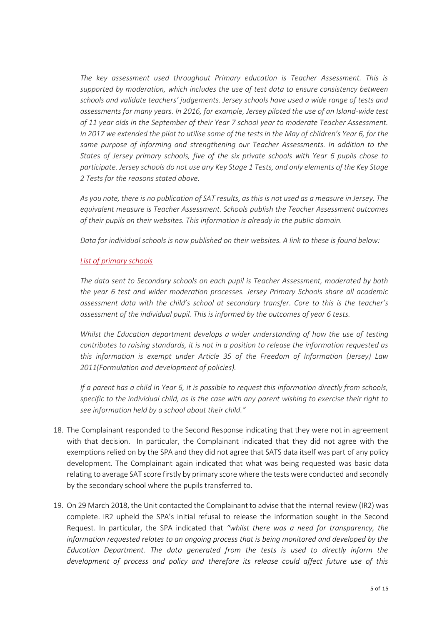*The key assessment used throughout Primary education is Teacher Assessment. This is supported by moderation, which includes the use of test data to ensure consistency between schools and validate teachers' judgements. Jersey schools have used a wide range of tests and assessments for many years. In 2016, for example, Jersey piloted the use of an Island-wide test of 11 year olds in the September of their Year 7 school year to moderate Teacher Assessment. In 2017 we extended the pilot to utilise some of the tests in the May of children's Year 6, for the same purpose of informing and strengthening our Teacher Assessments. In addition to the States of Jersey primary schools, five of the six private schools with Year 6 pupils chose to participate. Jersey schools do not use any Key Stage 1 Tests, and only elements of the Key Stage 2 Tests for the reasons stated above.*

*As you note, there is no publication of SAT results, as this is not used as a measure in Jersey. The equivalent measure is Teacher Assessment. Schools publish the Teacher Assessment outcomes of their pupils on their websites. This information is already in the public domain.*

*Data for individual schools is now published on their websites. A link to these is found below:*

# *[List of primary schools](https://www.gov.je/Education/Schools/FindingSchool/Pages/PrimarySchools.aspx)*

*The data sent to Secondary schools on each pupil is Teacher Assessment, moderated by both the year 6 test and wider moderation processes. Jersey Primary Schools share all academic assessment data with the child's school at secondary transfer. Core to this is the teacher's assessment of the individual pupil. This is informed by the outcomes of year 6 tests.*

*Whilst the Education department develops a wider understanding of how the use of testing contributes to raising standards, it is not in a position to release the information requested as this information is exempt under Article 35 of the Freedom of Information (Jersey) Law 2011(Formulation and development of policies).*

*If a parent has a child in Year 6, it is possible to request this information directly from schools, specific to the individual child, as is the case with any parent wishing to exercise their right to see information held by a school about their child."*

- 18. The Complainant responded to the Second Response indicating that they were not in agreement with that decision. In particular, the Complainant indicated that they did not agree with the exemptions relied on by the SPA and they did not agree that SATS data itself was part of any policy development. The Complainant again indicated that what was being requested was basic data relating to average SAT score firstly by primary score where the tests were conducted and secondly by the secondary school where the pupils transferred to.
- 19. On 29 March 2018, the Unit contacted the Complainant to advise that the internal review (IR2) was complete. IR2 upheld the SPA's initial refusal to release the information sought in the Second Request. In particular, the SPA indicated that *"whilst there was a need for transparency, the information requested relates to an ongoing process that is being monitored and developed by the Education Department. The data generated from the tests is used to directly inform the development of process and policy and therefore its release could affect future use of this*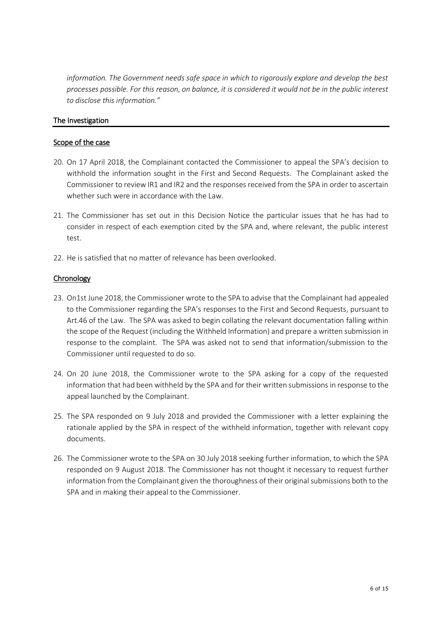*information. The Government needs safe space in which to rigorously explore and develop the best processes possible. For this reason, on balance, it is considered it would not be in the public interest to disclose this information."* 

### The Investigation

### Scope of the case

- 20. On 17 April 2018, the Complainant contacted the Commissioner to appeal the SPA's decision to withhold the information sought in the First and Second Requests. The Complainant asked the Commissioner to review IR1 and IR2 and the responses received from the SPA in order to ascertain whether such were in accordance with the Law.
- 21. The Commissioner has set out in this Decision Notice the particular issues that he has had to consider in respect of each exemption cited by the SPA and, where relevant, the public interest test.
- 22. He is satisfied that no matter of relevance has been overlooked.

# **Chronology**

- 23. On1st June 2018, the Commissioner wrote to the SPA to advise that the Complainant had appealed to the Commissioner regarding the SPA's responses to the First and Second Requests, pursuant to Art.46 of the Law. The SPA was asked to begin collating the relevant documentation falling within the scope of the Request (including the Withheld Information) and prepare a written submission in response to the complaint. The SPA was asked not to send that information/submission to the Commissioner until requested to do so.
- 24. On 20 June 2018, the Commissioner wrote to the SPA asking for a copy of the requested information that had been withheld by the SPA and for their written submissions in response to the appeal launched by the Complainant.
- 25. The SPA responded on 9 July 2018 and provided the Commissioner with a letter explaining the rationale applied by the SPA in respect of the withheld information, together with relevant copy documents.
- 26. The Commissioner wrote to the SPA on 30 July 2018 seeking further information, to which the SPA responded on 9 August 2018. The Commissioner has not thought it necessary to request further information from the Complainant given the thoroughness of their original submissions both to the SPA and in making their appeal to the Commissioner.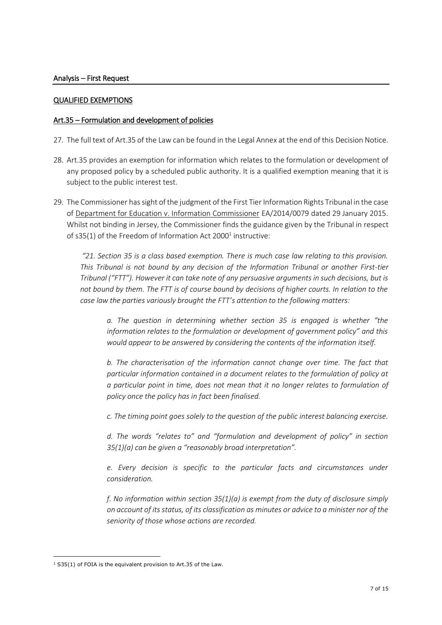#### QUALIFIED EXEMPTIONS

### Art.35 – Formulation and development of policies

- 27. The full text of Art.35 of the Law can be found in the Legal Annex at the end of this Decision Notice.
- 28. Art.35 provides an exemption for information which relates to the formulation or development of any proposed policy by a scheduled public authority. It is a qualified exemption meaning that it is subject to the public interest test.
- 29. The Commissioner has sight of the judgment of the First Tier Information Rights Tribunal in the case of Department for Education v. Information Commissioner EA/2014/0079 dated 29 January 2015. Whilst not binding in Jersey, the Commissioner finds the guidance given by the Tribunal in respect of s35(1) of the Freedom of Information Act 2000<sup>1</sup> instructive:

*"21. Section 35 is a class based exemption. There is much case law relating to this provision. This Tribunal is not bound by any decision of the Information Tribunal or another First-tier Tribunal ("FTT"). However it can take note of any persuasive arguments in such decisions, but is not bound by them. The FTT is of course bound by decisions of higher courts. In relation to the case law the parties variously brought the FTT's attention to the following matters:* 

*a. The question in determining whether section 35 is engaged is whether "the information relates to the formulation or development of government policy" and this would appear to be answered by considering the contents of the information itself.* 

*b. The characterisation of the information cannot change over time. The fact that particular information contained in a document relates to the formulation of policy at a particular point in time, does not mean that it no longer relates to formulation of policy once the policy has in fact been finalised.* 

*c. The timing point goes solely to the question of the public interest balancing exercise.* 

*d. The words "relates to" and "formulation and development of policy" in section 35(1)(a) can be given a "reasonably broad interpretation".* 

*e. Every decision is specific to the particular facts and circumstances under consideration.* 

*f. No information within section 35(1)(a) is exempt from the duty of disclosure simply on account of its status, of its classification as minutes or advice to a minister nor of the seniority of those whose actions are recorded.* 

-

<sup>&</sup>lt;sup>1</sup> S35(1) of FOIA is the equivalent provision to Art.35 of the Law.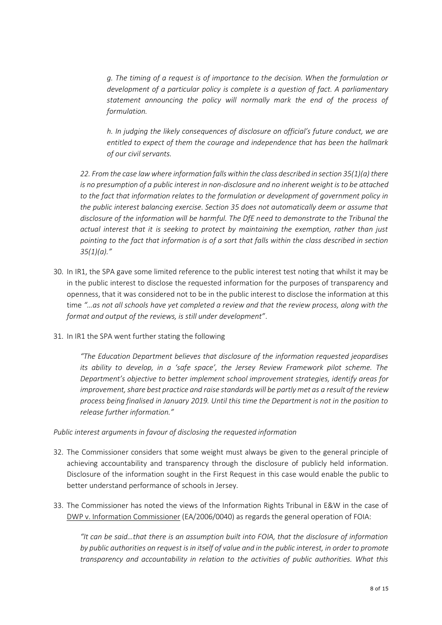*g. The timing of a request is of importance to the decision. When the formulation or development of a particular policy is complete is a question of fact. A parliamentary statement announcing the policy will normally mark the end of the process of formulation.* 

*h. In judging the likely consequences of disclosure on official's future conduct, we are entitled to expect of them the courage and independence that has been the hallmark of our civil servants.* 

*22. From the case law where information falls within the class described in section 35(1)(a) there is no presumption of a public interest in non-disclosure and no inherent weight is to be attached to the fact that information relates to the formulation or development of government policy in the public interest balancing exercise. Section 35 does not automatically deem or assume that disclosure of the information will be harmful. The DfE need to demonstrate to the Tribunal the actual interest that it is seeking to protect by maintaining the exemption, rather than just pointing to the fact that information is of a sort that falls within the class described in section 35(1)(a)."*

- 30. In IR1, the SPA gave some limited reference to the public interest test noting that whilst it may be in the public interest to disclose the requested information for the purposes of transparency and openness, that it was considered not to be in the public interest to disclose the information at this time *"…as not all schools have yet completed a review and that the review process, along with the format and output of the reviews, is still under development"*.
- 31. In IR1 the SPA went further stating the following

*"The Education Department believes that disclosure of the information requested jeopardises its ability to develop, in a 'safe space', the Jersey Review Framework pilot scheme. The Department's objective to better implement school improvement strategies, identify areas for improvement, share best practice and raise standards will be partly met as a result of the review process being finalised in January 2019. Until this time the Department is not in the position to release further information."*

*Public interest arguments in favour of disclosing the requested information*

- 32. The Commissioner considers that some weight must always be given to the general principle of achieving accountability and transparency through the disclosure of publicly held information. Disclosure of the information sought in the First Request in this case would enable the public to better understand performance of schools in Jersey.
- 33. The Commissioner has noted the views of the Information Rights Tribunal in E&W in the case of DWP v. Information Commissioner (EA/2006/0040) as regards the general operation of FOIA:

*"It can be said…that there is an assumption built into FOIA, that the disclosure of information by public authorities on request is in itself of value and in the public interest, in order to promote transparency and accountability in relation to the activities of public authorities. What this*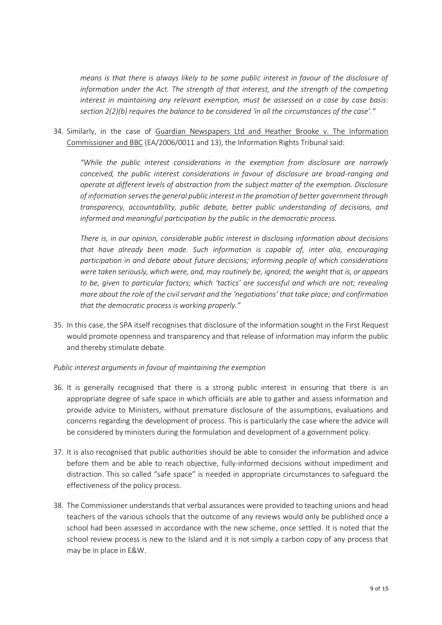*means is that there is always likely to be some public interest in favour of the disclosure of information under the Act. The strength of that interest, and the strength of the competing interest in maintaining any relevant exemption, must be assessed on a case by case basis: section 2(2)(b) requires the balance to be considered 'in all the circumstances of the case'."*

34. Similarly, in the case of Guardian Newspapers Ltd and Heather Brooke v. The Information Commissioner and BBC (EA/2006/0011 and 13), the Information Rights Tribunal said:

*"While the public interest considerations in the exemption from disclosure are narrowly conceived, the public interest considerations in favour of disclosure are broad-ranging and operate at different levels of abstraction from the subject matter of the exemption. Disclosure of information serves the general public interest in the promotion of better government through transparency, accountability, public debate, better public understanding of decisions, and informed and meaningful participation by the public in the democratic process.*

*There is, in our opinion, considerable public interest in disclosing information about decisions that have already been made. Such information is capable of, inter alia, encouraging participation in and debate about future decisions; informing people of which considerations were taken seriously, which were, and, may routinely be, ignored; the weight that is, or appears to be, given to particular factors; which 'tactics' are successful and which are not; revealing more about the role of the civil servant and the 'negotiations' that take place; and confirmation that the democratic process is working properly."* 

35. In this case, the SPA itself recognises that disclosure of the information sought in the First Request would promote openness and transparency and that release of information may inform the public and thereby stimulate debate.

#### *Public interest arguments in favour of maintaining the exemption*

- 36. It is generally recognised that there is a strong public interest in ensuring that there is an appropriate degree of safe space in which officials are able to gather and assess information and provide advice to Ministers, without premature disclosure of the assumptions, evaluations and concerns regarding the development of process. This is particularly the case where the advice will be considered by ministers during the formulation and development of a government policy.
- 37. It is also recognised that public authorities should be able to consider the information and advice before them and be able to reach objective, fully-informed decisions without impediment and distraction. This so called "safe space" is needed in appropriate circumstances to safeguard the effectiveness of the policy process.
- 38. The Commissioner understands that verbal assurances were provided to teaching unions and head teachers of the various schools that the outcome of any reviews would only be published once a school had been assessed in accordance with the new scheme, once settled. It is noted that the school review process is new to the Island and it is not simply a carbon copy of any process that may be in place in E&W.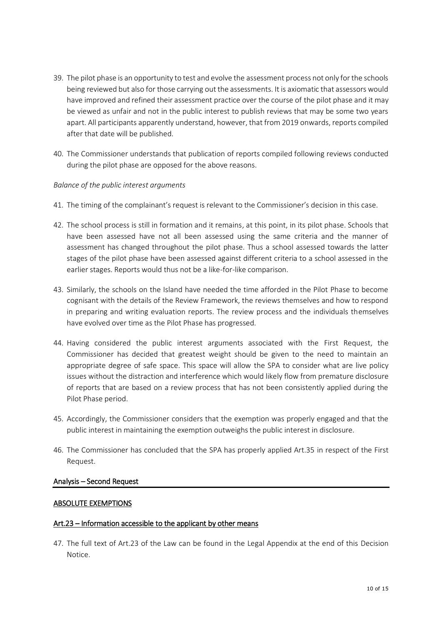- 39. The pilot phase is an opportunity to test and evolve the assessment process not only for the schools being reviewed but also for those carrying out the assessments. It is axiomatic that assessors would have improved and refined their assessment practice over the course of the pilot phase and it may be viewed as unfair and not in the public interest to publish reviews that may be some two years apart. All participants apparently understand, however, that from 2019 onwards, reports compiled after that date will be published.
- 40. The Commissioner understands that publication of reports compiled following reviews conducted during the pilot phase are opposed for the above reasons.

#### *Balance of the public interest arguments*

- 41. The timing of the complainant's request is relevant to the Commissioner's decision in this case.
- 42. The school process is still in formation and it remains, at this point, in its pilot phase. Schools that have been assessed have not all been assessed using the same criteria and the manner of assessment has changed throughout the pilot phase. Thus a school assessed towards the latter stages of the pilot phase have been assessed against different criteria to a school assessed in the earlier stages. Reports would thus not be a like-for-like comparison.
- 43. Similarly, the schools on the Island have needed the time afforded in the Pilot Phase to become cognisant with the details of the Review Framework, the reviews themselves and how to respond in preparing and writing evaluation reports. The review process and the individuals themselves have evolved over time as the Pilot Phase has progressed.
- 44. Having considered the public interest arguments associated with the First Request, the Commissioner has decided that greatest weight should be given to the need to maintain an appropriate degree of safe space. This space will allow the SPA to consider what are live policy issues without the distraction and interference which would likely flow from premature disclosure of reports that are based on a review process that has not been consistently applied during the Pilot Phase period.
- 45. Accordingly, the Commissioner considers that the exemption was properly engaged and that the public interest in maintaining the exemption outweighs the public interest in disclosure.
- 46. The Commissioner has concluded that the SPA has properly applied Art.35 in respect of the First Request.

#### Analysis – Second Request

#### ABSOLUTE EXEMPTIONS

#### Art.23 – Information accessible to the applicant by other means

47. The full text of Art.23 of the Law can be found in the Legal Appendix at the end of this Decision Notice.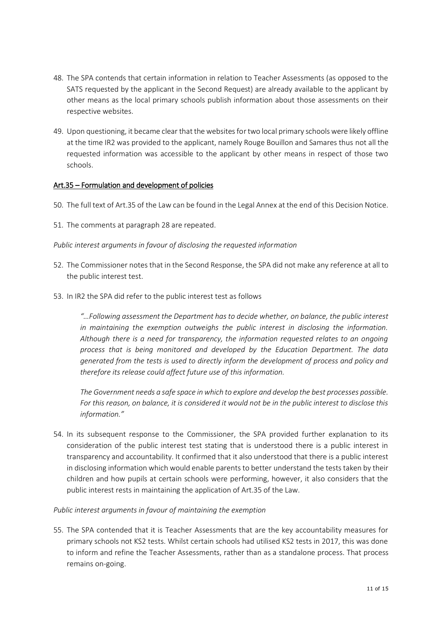- 48. The SPA contends that certain information in relation to Teacher Assessments (as opposed to the SATS requested by the applicant in the Second Request) are already available to the applicant by other means as the local primary schools publish information about those assessments on their respective websites.
- 49. Upon questioning, it became clear that the websites for two local primary schools were likely offline at the time IR2 was provided to the applicant, namely Rouge Bouillon and Samares thus not all the requested information was accessible to the applicant by other means in respect of those two schools.

#### Art.35 – Formulation and development of policies

- 50. The full text of Art.35 of the Law can be found in the Legal Annex at the end of this Decision Notice.
- 51. The comments at paragraph 28 are repeated.

*Public interest arguments in favour of disclosing the requested information*

- 52. The Commissioner notes that in the Second Response, the SPA did not make any reference at all to the public interest test.
- 53. In IR2 the SPA did refer to the public interest test as follows

*"…Following assessment the Department has to decide whether, on balance, the public interest in maintaining the exemption outweighs the public interest in disclosing the information. Although there is a need for transparency, the information requested relates to an ongoing process that is being monitored and developed by the Education Department. The data generated from the tests is used to directly inform the development of process and policy and therefore its release could affect future use of this information.*

*The Government needs a safe space in which to explore and develop the best processes possible. For this reason, on balance, it is considered it would not be in the public interest to disclose this information."*

54. In its subsequent response to the Commissioner, the SPA provided further explanation to its consideration of the public interest test stating that is understood there is a public interest in transparency and accountability. It confirmed that it also understood that there is a public interest in disclosing information which would enable parents to better understand the tests taken by their children and how pupils at certain schools were performing, however, it also considers that the public interest rests in maintaining the application of Art.35 of the Law.

#### *Public interest arguments in favour of maintaining the exemption*

55. The SPA contended that it is Teacher Assessments that are the key accountability measures for primary schools not KS2 tests. Whilst certain schools had utilised KS2 tests in 2017, this was done to inform and refine the Teacher Assessments, rather than as a standalone process. That process remains on-going.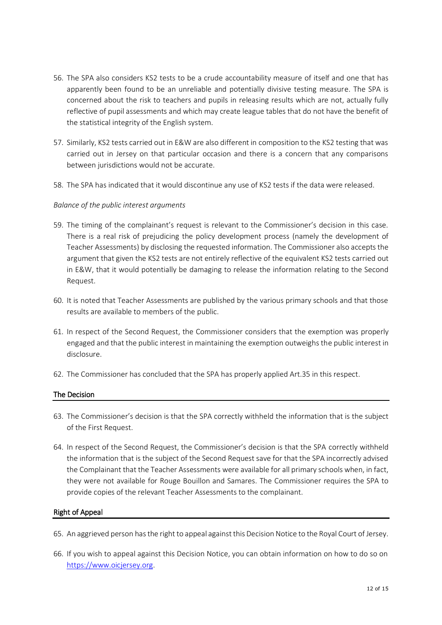- 56. The SPA also considers KS2 tests to be a crude accountability measure of itself and one that has apparently been found to be an unreliable and potentially divisive testing measure. The SPA is concerned about the risk to teachers and pupils in releasing results which are not, actually fully reflective of pupil assessments and which may create league tables that do not have the benefit of the statistical integrity of the English system.
- 57. Similarly, KS2 tests carried out in E&W are also different in composition to the KS2 testing that was carried out in Jersey on that particular occasion and there is a concern that any comparisons between jurisdictions would not be accurate.
- 58. The SPA has indicated that it would discontinue any use of KS2 tests if the data were released.

### *Balance of the public interest arguments*

- 59. The timing of the complainant's request is relevant to the Commissioner's decision in this case. There is a real risk of prejudicing the policy development process (namely the development of Teacher Assessments) by disclosing the requested information. The Commissioner also accepts the argument that given the KS2 tests are not entirely reflective of the equivalent KS2 tests carried out in E&W, that it would potentially be damaging to release the information relating to the Second Request.
- 60. It is noted that Teacher Assessments are published by the various primary schools and that those results are available to members of the public.
- 61. In respect of the Second Request, the Commissioner considers that the exemption was properly engaged and that the public interest in maintaining the exemption outweighs the public interest in disclosure.
- 62. The Commissioner has concluded that the SPA has properly applied Art.35 in this respect.

#### The Decision

- 63. The Commissioner's decision is that the SPA correctly withheld the information that is the subject of the First Request.
- 64. In respect of the Second Request, the Commissioner's decision is that the SPA correctly withheld the information that is the subject of the Second Request save for that the SPA incorrectly advised the Complainant that the Teacher Assessments were available for all primary schools when, in fact, they were not available for Rouge Bouillon and Samares. The Commissioner requires the SPA to provide copies of the relevant Teacher Assessments to the complainant.

#### Right of Appeal

- 65. An aggrieved person has the right to appeal against this Decision Notice to the Royal Court of Jersey.
- 66. If you wish to appeal against this Decision Notice, you can obtain information on how to do so on [https://www.oicjersey.org.](https://www.oicjersey.org/)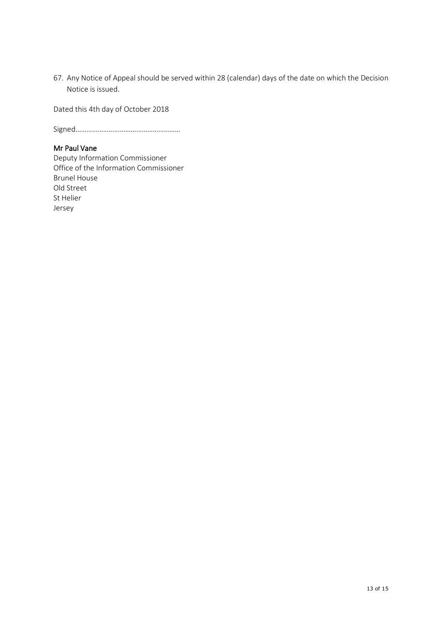67. Any Notice of Appeal should be served within 28 (calendar) days of the date on which the Decision Notice is issued.

Dated this 4th day of October 2018

Signed…………………………………………………

# Mr Paul Vane

Deputy Information Commissioner Office of the Information Commissioner Brunel House Old Street St Helier Jersey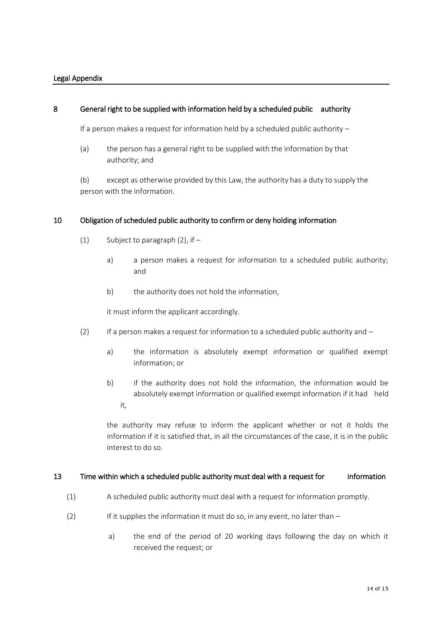#### Legal Appendix

#### 8 General right to be supplied with information held by a scheduled public authority

If a person makes a request for information held by a scheduled public authority  $-$ 

(a) the person has a general right to be supplied with the information by that authority; and

(b) except as otherwise provided by this Law, the authority has a duty to supply the person with the information.

#### 10 Obligation of scheduled public authority to confirm or deny holding information

- (1) Subject to paragraph  $(2)$ , if  $$ 
	- a) a person makes a request for information to a scheduled public authority; and
	- b) the authority does not hold the information,

it must inform the applicant accordingly.

- (2) If a person makes a request for information to a scheduled public authority and  $$ 
	- a) the information is absolutely exempt information or qualified exempt information; or
	- b) if the authority does not hold the information, the information would be absolutely exempt information or qualified exempt information if it had held it,

the authority may refuse to inform the applicant whether or not it holds the information if it is satisfied that, in all the circumstances of the case, it is in the public interest to do so.

#### 13 Time within which a scheduled public authority must deal with a request for information

- (1) A scheduled public authority must deal with a request for information promptly.
- (2) If it supplies the information it must do so, in any event, no later than  $$ 
	- a) the end of the period of 20 working days following the day on which it received the request; or